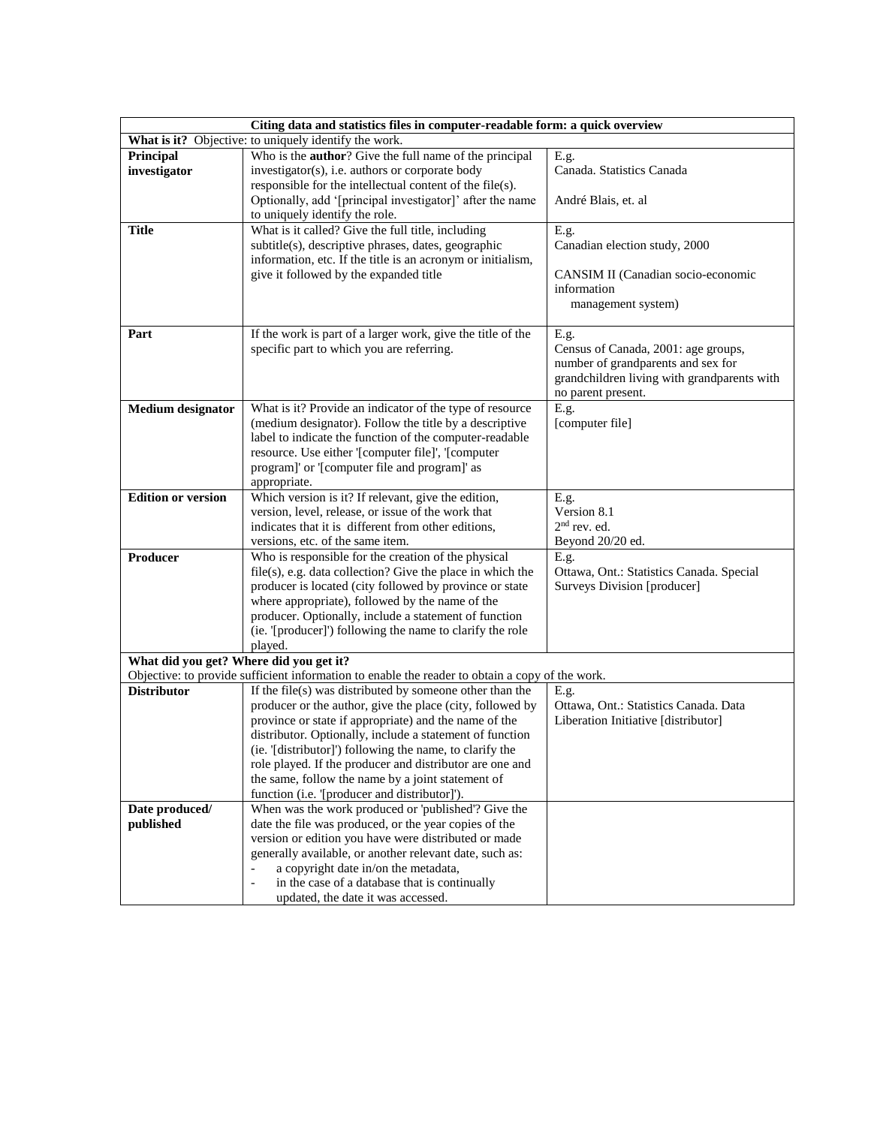| Citing data and statistics files in computer-readable form: a quick overview |                                                                                                                          |                                                                         |  |  |
|------------------------------------------------------------------------------|--------------------------------------------------------------------------------------------------------------------------|-------------------------------------------------------------------------|--|--|
| What is it? Objective: to uniquely identify the work.                        |                                                                                                                          |                                                                         |  |  |
| Principal                                                                    | Who is the <b>author</b> ? Give the full name of the principal                                                           | E.g.                                                                    |  |  |
| investigator                                                                 | investigator(s), i.e. authors or corporate body                                                                          | Canada. Statistics Canada                                               |  |  |
|                                                                              | responsible for the intellectual content of the file(s).                                                                 |                                                                         |  |  |
|                                                                              | Optionally, add '[principal investigator]' after the name                                                                | André Blais, et. al                                                     |  |  |
|                                                                              | to uniquely identify the role.                                                                                           |                                                                         |  |  |
| <b>Title</b>                                                                 | What is it called? Give the full title, including                                                                        | E.g.                                                                    |  |  |
|                                                                              | subtitle(s), descriptive phrases, dates, geographic<br>information, etc. If the title is an acronym or initialism,       | Canadian election study, 2000                                           |  |  |
|                                                                              | give it followed by the expanded title                                                                                   | CANSIM II (Canadian socio-economic                                      |  |  |
|                                                                              |                                                                                                                          | information                                                             |  |  |
|                                                                              |                                                                                                                          | management system)                                                      |  |  |
|                                                                              |                                                                                                                          |                                                                         |  |  |
| Part                                                                         | If the work is part of a larger work, give the title of the                                                              | E.g.                                                                    |  |  |
|                                                                              | specific part to which you are referring.                                                                                | Census of Canada, 2001: age groups,                                     |  |  |
|                                                                              |                                                                                                                          | number of grandparents and sex for                                      |  |  |
|                                                                              |                                                                                                                          | grandchildren living with grandparents with                             |  |  |
|                                                                              |                                                                                                                          | no parent present.                                                      |  |  |
| <b>Medium</b> designator                                                     | What is it? Provide an indicator of the type of resource<br>(medium designator). Follow the title by a descriptive       | E.g.<br>[computer file]                                                 |  |  |
|                                                                              | label to indicate the function of the computer-readable                                                                  |                                                                         |  |  |
|                                                                              | resource. Use either '[computer file]', '[computer                                                                       |                                                                         |  |  |
|                                                                              | program]' or '[computer file and program]' as                                                                            |                                                                         |  |  |
|                                                                              | appropriate.                                                                                                             |                                                                         |  |  |
| <b>Edition or version</b>                                                    | Which version is it? If relevant, give the edition,                                                                      | E.g.                                                                    |  |  |
|                                                                              | version, level, release, or issue of the work that                                                                       | Version 8.1                                                             |  |  |
|                                                                              | indicates that it is different from other editions,                                                                      | $2nd$ rev. ed.                                                          |  |  |
|                                                                              | versions, etc. of the same item.                                                                                         | Beyond 20/20 ed.                                                        |  |  |
| Producer                                                                     | Who is responsible for the creation of the physical                                                                      | E.g.                                                                    |  |  |
|                                                                              | $file(s)$ , e.g. data collection? Give the place in which the<br>producer is located (city followed by province or state | Ottawa, Ont.: Statistics Canada. Special<br>Surveys Division [producer] |  |  |
|                                                                              | where appropriate), followed by the name of the                                                                          |                                                                         |  |  |
|                                                                              | producer. Optionally, include a statement of function                                                                    |                                                                         |  |  |
|                                                                              | (ie. '[producer]') following the name to clarify the role                                                                |                                                                         |  |  |
|                                                                              | played.                                                                                                                  |                                                                         |  |  |
| What did you get? Where did you get it?                                      |                                                                                                                          |                                                                         |  |  |
|                                                                              | Objective: to provide sufficient information to enable the reader to obtain a copy of the work.                          |                                                                         |  |  |
| <b>Distributor</b>                                                           | If the file(s) was distributed by someone other than the                                                                 | E.g.                                                                    |  |  |
|                                                                              | producer or the author, give the place (city, followed by                                                                | Ottawa, Ont.: Statistics Canada. Data                                   |  |  |
|                                                                              | province or state if appropriate) and the name of the                                                                    | Liberation Initiative [distributor]                                     |  |  |
|                                                                              | distributor. Optionally, include a statement of function<br>(ie. '[distributor]') following the name, to clarify the     |                                                                         |  |  |
|                                                                              | role played. If the producer and distributor are one and                                                                 |                                                                         |  |  |
|                                                                              | the same, follow the name by a joint statement of                                                                        |                                                                         |  |  |
|                                                                              | function (i.e. '[producer and distributor]').                                                                            |                                                                         |  |  |
| Date produced/                                                               | When was the work produced or 'published'? Give the                                                                      |                                                                         |  |  |
| published                                                                    | date the file was produced, or the year copies of the                                                                    |                                                                         |  |  |
|                                                                              | version or edition you have were distributed or made                                                                     |                                                                         |  |  |
|                                                                              | generally available, or another relevant date, such as:                                                                  |                                                                         |  |  |
|                                                                              | a copyright date in/on the metadata,<br>$\blacksquare$                                                                   |                                                                         |  |  |
|                                                                              | in the case of a database that is continually<br>$\qquad \qquad -$                                                       |                                                                         |  |  |
|                                                                              | updated, the date it was accessed.                                                                                       |                                                                         |  |  |